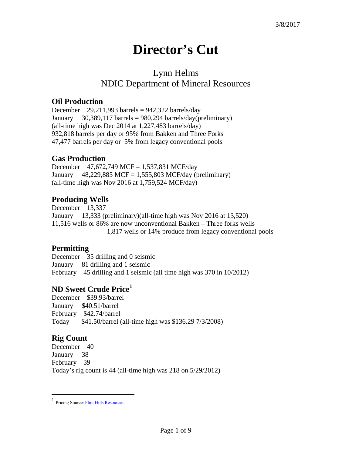# **Director's Cut**

## Lynn Helms NDIC Department of Mineral Resources

#### **Oil Production**

December  $29,211,993$  barrels = 942,322 barrels/day January  $30,389,117$  barrels = 980,294 barrels/day(preliminary) (all-time high was Dec 2014 at 1,227,483 barrels/day) 932,818 barrels per day or 95% from Bakken and Three Forks 47,477 barrels per day or 5% from legacy conventional pools

#### **Gas Production**

December 47,672,749 MCF = 1,537,831 MCF/day January  $48,229,885$  MCF = 1,555,803 MCF/day (preliminary) (all-time high was Nov 2016 at 1,759,524 MCF/day)

#### **Producing Wells**

December 13,337 January 13,333 (preliminary)(all-time high was Nov 2016 at 13,520) 11,516 wells or 86% are now unconventional Bakken – Three forks wells 1,817 wells or 14% produce from legacy conventional pools

#### **Permitting**

December 35 drilling and 0 seismic January 81 drilling and 1 seismic February 45 drilling and 1 seismic (all time high was 370 in 10/2012)

#### **ND Sweet Crude Price[1](#page-0-0)**

December \$39.93/barrel January \$40.51/barrel February \$42.74/barrel Today \$41.50/barrel (all-time high was \$136.29 7/3/2008)

### **Rig Count**

 $\overline{a}$ 

December 40 January 38 February 39 Today's rig count is 44 (all-time high was 218 on 5/29/2012)

<span id="page-0-0"></span><sup>1</sup> Pricing Source[: Flint Hills Resources](http://www.fhr.com/refining/bulletins.aspx?AspxAutoDetectCookieSupport=1)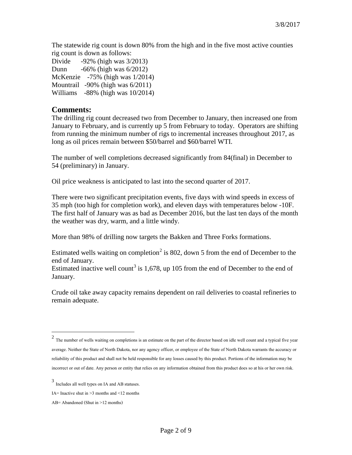The statewide rig count is down 80% from the high and in the five most active counties rig count is down as follows:

Divide -92% (high was 3/2013) Dunn -66% (high was 6/2012) McKenzie -75% (high was 1/2014) Mountrail -90% (high was 6/2011) Williams -88% (high was 10/2014)

#### **Comments:**

The drilling rig count decreased two from December to January, then increased one from January to February, and is currently up 5 from February to today. Operators are shifting from running the minimum number of rigs to incremental increases throughout 2017, as long as oil prices remain between \$50/barrel and \$60/barrel WTI.

The number of well completions decreased significantly from 84(final) in December to 54 (preliminary) in January.

Oil price weakness is anticipated to last into the second quarter of 2017.

There were two significant precipitation events, five days with wind speeds in excess of 35 mph (too high for completion work), and eleven days with temperatures below -10F. The first half of January was as bad as December 2016, but the last ten days of the month the weather was dry, warm, and a little windy.

More than 98% of drilling now targets the Bakken and Three Forks formations.

Estimated wells waiting on completion<sup>[2](#page-1-0)</sup> is 802, down 5 from the end of December to the end of January.

Estimated inactive well count<sup>[3](#page-1-1)</sup> is 1,678, up 105 from the end of December to the end of January.

Crude oil take away capacity remains dependent on rail deliveries to coastal refineries to remain adequate.

 $\overline{a}$ 

<span id="page-1-0"></span> $2$  The number of wells waiting on completions is an estimate on the part of the director based on idle well count and a typical five year average. Neither the State of North Dakota, nor any agency officer, or employee of the State of North Dakota warrants the accuracy or reliability of this product and shall not be held responsible for any losses caused by this product. Portions of the information may be incorrect or out of date. Any person or entity that relies on any information obtained from this product does so at his or her own risk.

<span id="page-1-1"></span><sup>3</sup> Includes all well types on IA and AB statuses.

IA= Inactive shut in  $\geq$ 3 months and  $\leq$ 12 months

AB= Abandoned (Shut in >12 months)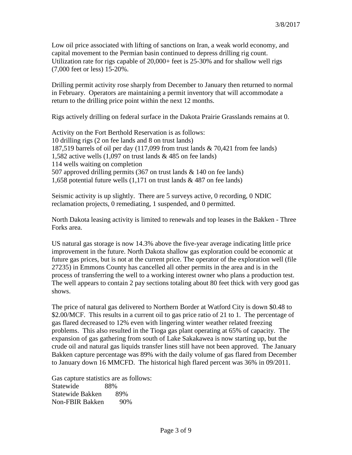Low oil price associated with lifting of sanctions on Iran, a weak world economy, and capital movement to the Permian basin continued to depress drilling rig count. Utilization rate for rigs capable of 20,000+ feet is 25-30% and for shallow well rigs (7,000 feet or less) 15-20%.

Drilling permit activity rose sharply from December to January then returned to normal in February. Operators are maintaining a permit inventory that will accommodate a return to the drilling price point within the next 12 months.

Rigs actively drilling on federal surface in the Dakota Prairie Grasslands remains at 0.

Activity on the Fort Berthold Reservation is as follows: 10 drilling rigs (2 on fee lands and 8 on trust lands) 187,519 barrels of oil per day (117,099 from trust lands & 70,421 from fee lands) 1,582 active wells (1,097 on trust lands & 485 on fee lands) 114 wells waiting on completion 507 approved drilling permits (367 on trust lands & 140 on fee lands) 1,658 potential future wells (1,171 on trust lands & 487 on fee lands)

Seismic activity is up slightly. There are 5 surveys active, 0 recording, 0 NDIC reclamation projects, 0 remediating, 1 suspended, and 0 permitted.

North Dakota leasing activity is limited to renewals and top leases in the Bakken - Three Forks area.

US natural gas storage is now 14.3% above the five-year average indicating little price improvement in the future. North Dakota shallow gas exploration could be economic at future gas prices, but is not at the current price. The operator of the exploration well (file 27235) in Emmons County has cancelled all other permits in the area and is in the process of transferring the well to a working interest owner who plans a production test. The well appears to contain 2 pay sections totaling about 80 feet thick with very good gas shows.

The price of natural gas delivered to Northern Border at Watford City is down \$0.48 to \$2.00/MCF. This results in a current oil to gas price ratio of 21 to 1. The percentage of gas flared decreased to 12% even with lingering winter weather related freezing problems. This also resulted in the Tioga gas plant operating at 65% of capacity. The expansion of gas gathering from south of Lake Sakakawea is now starting up, but the crude oil and natural gas liquids transfer lines still have not been approved. The January Bakken capture percentage was 89% with the daily volume of gas flared from December to January down 16 MMCFD. The historical high flared percent was 36% in 09/2011.

Gas capture statistics are as follows: Statewide 88% Statewide Bakken 89% Non-FBIR Bakken 90%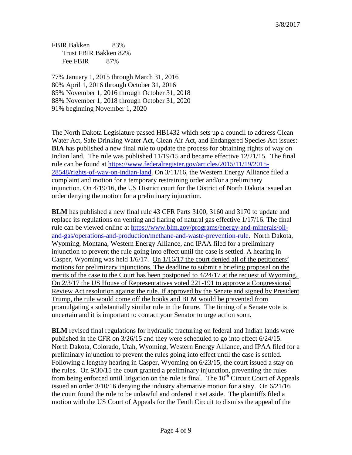FBIR Bakken 83% Trust FBIR Bakken 82% Fee FBIR 87%

77% January 1, 2015 through March 31, 2016 80% April 1, 2016 through October 31, 2016 85% November 1, 2016 through October 31, 2018 88% November 1, 2018 through October 31, 2020 91% beginning November 1, 2020

The North Dakota Legislature passed HB1432 which sets up a council to address Clean Water Act, Safe Drinking Water Act, Clean Air Act, and Endangered Species Act issues: **BIA** has published a new final rule to update the process for obtaining rights of way on Indian land. The rule was published 11/19/15 and became effective 12/21/15. The final rule can be found at [https://www.federalregister.gov/articles/2015/11/19/2015-](https://www.federalregister.gov/articles/2015/11/19/2015-28548/rights-of-way-on-indian-land) [28548/rights-of-way-on-indian-land.](https://www.federalregister.gov/articles/2015/11/19/2015-28548/rights-of-way-on-indian-land) On 3/11/16, the Western Energy Alliance filed a complaint and motion for a temporary restraining order and/or a preliminary injunction. On 4/19/16, the US District court for the District of North Dakota issued an order denying the motion for a preliminary injunction.

**BLM** has published a new final rule 43 CFR Parts 3100, 3160 and 3170 to update and replace its regulations on venting and flaring of natural gas effective 1/17/16. The final rule can be viewed online at [https://www.blm.gov/programs/energy-and-minerals/oil](https://www.blm.gov/programs/energy-and-minerals/oil-and-gas/operations-and-production/methane-and-waste-prevention-rule)[and-gas/operations-and-production/methane-and-waste-prevention-rule.](https://www.blm.gov/programs/energy-and-minerals/oil-and-gas/operations-and-production/methane-and-waste-prevention-rule) North Dakota, Wyoming, Montana, Western Energy Alliance, and IPAA filed for a preliminary injunction to prevent the rule going into effect until the case is settled. A hearing in Casper, Wyoming was held 1/6/17. On 1/16/17 the court denied all of the petitioners' motions for preliminary injunctions. The deadline to submit a briefing proposal on the merits of the case to the Court has been postponed to 4/24/17 at the request of Wyoming. On 2/3/17 the US House of Representatives voted 221-191 to approve a Congressional Review Act resolution against the rule. If approved by the Senate and signed by President Trump, the rule would come off the books and BLM would be prevented from promulgating a substantially similar rule in the future. The timing of a Senate vote is uncertain and it is important to contact your Senator to urge action soon.

**BLM** revised final regulations for hydraulic fracturing on federal and Indian lands were published in the CFR on 3/26/15 and they were scheduled to go into effect 6/24/15. North Dakota, Colorado, Utah, Wyoming, Western Energy Alliance, and IPAA filed for a preliminary injunction to prevent the rules going into effect until the case is settled. Following a lengthy hearing in Casper, Wyoming on 6/23/15, the court issued a stay on the rules. On 9/30/15 the court granted a preliminary injunction, preventing the rules from being enforced until litigation on the rule is final. The  $10<sup>th</sup>$  Circuit Court of Appeals issued an order 3/10/16 denying the industry alternative motion for a stay. On 6/21/16 the court found the rule to be unlawful and ordered it set aside. The plaintiffs filed a motion with the US Court of Appeals for the Tenth Circuit to dismiss the appeal of the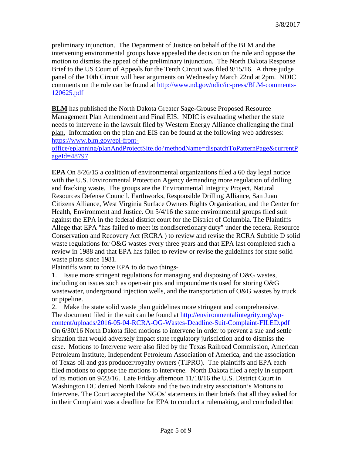preliminary injunction. The Department of Justice on behalf of the BLM and the intervening environmental groups have appealed the decision on the rule and oppose the motion to dismiss the appeal of the preliminary injunction. The North Dakota Response Brief to the US Court of Appeals for the Tenth Circuit was filed 9/15/16. A three judge panel of the 10th Circuit will hear arguments on Wednesday March 22nd at 2pm. NDIC comments on the rule can be found at [http://www.nd.gov/ndic/ic-press/BLM-comments-](http://www.nd.gov/ndic/ic-press/BLM-comments-120625.pdf)[120625.pdf](http://www.nd.gov/ndic/ic-press/BLM-comments-120625.pdf)

**BLM** has published the North Dakota Greater Sage-Grouse Proposed Resource Management Plan Amendment and Final EIS. NDIC is evaluating whether the state needs to intervene in the lawsuit filed by Western Energy Alliance challenging the final plan. Information on the plan and EIS can be found at the following web addresses: [https://www.blm.gov/epl-front-](https://www.blm.gov/epl-front-office/eplanning/planAndProjectSite.do?methodName=dispatchToPatternPage¤tPageId=48797)

[office/eplanning/planAndProjectSite.do?methodName=dispatchToPatternPage&currentP](https://www.blm.gov/epl-front-office/eplanning/planAndProjectSite.do?methodName=dispatchToPatternPage¤tPageId=48797) [ageId=48797](https://www.blm.gov/epl-front-office/eplanning/planAndProjectSite.do?methodName=dispatchToPatternPage¤tPageId=48797)

**EPA** On 8/26/15 a coalition of environmental organizations filed a 60 day legal notice with the U.S. Environmental Protection Agency demanding more regulation of drilling and fracking waste. The groups are the Environmental Integrity Project, Natural Resources Defense Council, Earthworks, Responsible Drilling Alliance, San Juan Citizens Alliance, West Virginia Surface Owners Rights Organization, and the Center for Health, Environment and Justice. On 5/4/16 the same environmental groups filed suit against the EPA in the federal district court for the District of Columbia. The Plaintiffs Allege that EPA "has failed to meet its nondiscretionary duty" under the federal Resource Conservation and Recovery Act (RCRA ) to review and revise the RCRA Subtitle D solid waste regulations for O&G wastes every three years and that EPA last completed such a review in 1988 and that EPA has failed to review or revise the guidelines for state solid waste plans since 1981.

Plaintiffs want to force EPA to do two things-

1. Issue more stringent regulations for managing and disposing of O&G wastes, including on issues such as open-air pits and impoundments used for storing O&G wastewater, underground injection wells, and the transportation of O&G wastes by truck or pipeline.

2. Make the state solid waste plan guidelines more stringent and comprehensive. The document filed in the suit can be found at [http://environmentalintegrity.org/wp](http://environmentalintegrity.org/wp-content/uploads/2016-05-04-RCRA-OG-Wastes-Deadline-Suit-Complaint-FILED.pdf)[content/uploads/2016-05-04-RCRA-OG-Wastes-Deadline-Suit-Complaint-FILED.pdf](http://environmentalintegrity.org/wp-content/uploads/2016-05-04-RCRA-OG-Wastes-Deadline-Suit-Complaint-FILED.pdf) On 6/30/16 North Dakota filed motions to intervene in order to prevent a sue and settle situation that would adversely impact state regulatory jurisdiction and to dismiss the case. Motions to Intervene were also filed by the Texas Railroad Commission, American Petroleum Institute, Independent Petroleum Association of America, and the association of Texas oil and gas producer/royalty owners (TIPRO). The plaintiffs and EPA each filed motions to oppose the motions to intervene. North Dakota filed a reply in support of its motion on 9/23/16. Late Friday afternoon 11/18/16 the U.S. District Court in Washington DC denied North Dakota and the two industry association's Motions to Intervene. The Court accepted the NGOs' statements in their briefs that all they asked for in their Complaint was a deadline for EPA to conduct a rulemaking, and concluded that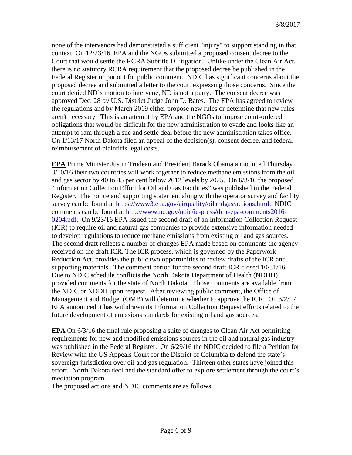none of the intervenors had demonstrated a sufficient "injury" to support standing in that context. On 12/23/16, EPA and the NGOs submitted a proposed consent decree to the Court that would settle the RCRA Subtitle D litigation. Unlike under the Clean Air Act, there is no statutory RCRA requirement that the proposed decree be published in the Federal Register or put out for public comment. NDIC has significant concerns about the proposed decree and submitted a letter to the court expressing those concerns. Since the court denied ND's motion to intervene, ND is not a party. The consent decree was approved Dec. 28 by U.S. District Judge John D. Bates. The EPA has agreed to review the regulations and by March 2019 either propose new rules or determine that new rules aren't necessary. This is an attempt by EPA and the NGOs to impose court-ordered obligations that would be difficult for the new administration to evade and looks like an attempt to ram through a sue and settle deal before the new administration takes office. On 1/13/17 North Dakota filed an appeal of the decision(s), consent decree, and federal reimbursement of plaintiffs legal costs.

**EPA** Prime Minister Justin Trudeau and President Barack Obama announced Thursday 3/10/16 their two countries will work together to reduce methane emissions from the oil and gas sector by 40 to 45 per cent below 2012 levels by 2025. On 6/3/16 the proposed "Information Collection Effort for Oil and Gas Facilities" was published in the Federal Register. The notice and supporting statement along with the operator survey and facility survey can be found at [https://www3.epa.gov/airquality/oilandgas/actions.html.](https://www3.epa.gov/airquality/oilandgas/actions.html) NDIC comments can be found at [http://www.nd.gov/ndic/ic-press/dmr-epa-comments2016-](http://www.nd.gov/ndic/ic-press/dmr-epa-comments2016-0204.pdf) [0204.pdf.](http://www.nd.gov/ndic/ic-press/dmr-epa-comments2016-0204.pdf) On 9/23/16 EPA issued the second draft of an Information Collection Request (ICR) to require oil and natural gas companies to provide extensive information needed to develop regulations to reduce methane emissions from existing oil and gas sources. The second draft reflects a number of changes EPA made based on comments the agency received on the draft ICR. The ICR process, which is governed by the Paperwork Reduction Act, provides the public two opportunities to review drafts of the ICR and supporting materials. The comment period for the second draft ICR closed 10/31/16. Due to NDIC schedule conflicts the North Dakota Department of Health (NDDH) provided comments for the state of North Dakota. Those comments are available from the NDIC or NDDH upon request. After reviewing public comment, the Office of Management and Budget (OMB) will determine whether to approve the ICR. On 3/2/17 EPA announced it has withdrawn its Information Collection Request efforts related to the future development of emissions standards for existing oil and gas sources.

**EPA** On 6/3/16 the final rule proposing a suite of changes to Clean Air Act permitting requirements for new and modified emissions sources in the oil and natural gas industry was published in the Federal Register. On 6/29/16 the NDIC decided to file a Petition for Review with the US Appeals Court for the District of Columbia to defend the state's sovereign jurisdiction over oil and gas regulation. Thirteen other states have joined this effort. North Dakota declined the standard offer to explore settlement through the court's mediation program.

The proposed actions and NDIC comments are as follows: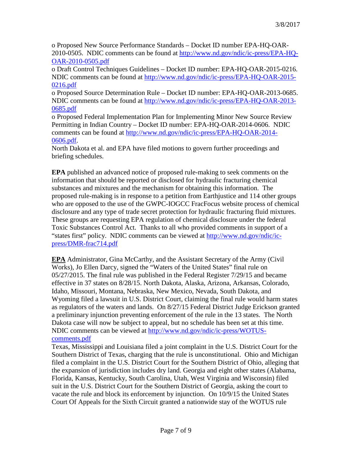o Proposed New Source Performance Standards – Docket ID number EPA-HQ-OAR-2010-0505. NDIC comments can be found at [http://www.nd.gov/ndic/ic-press/EPA-HQ-](http://www.nd.gov/ndic/ic-press/EPA-HQ-OAR-2010-0505.pdf)[OAR-2010-0505.pdf](http://www.nd.gov/ndic/ic-press/EPA-HQ-OAR-2010-0505.pdf)

o Draft Control Techniques Guidelines – Docket ID number: EPA-HQ-OAR-2015-0216. NDIC comments can be found at [http://www.nd.gov/ndic/ic-press/EPA-HQ-OAR-2015-](http://www.nd.gov/ndic/ic-press/EPA-HQ-OAR-2015-0216.pdf) [0216.pdf](http://www.nd.gov/ndic/ic-press/EPA-HQ-OAR-2015-0216.pdf)

o Proposed Source Determination Rule – Docket ID number: EPA-HQ-OAR-2013-0685. NDIC comments can be found at [http://www.nd.gov/ndic/ic-press/EPA-HQ-OAR-2013-](http://www.nd.gov/ndic/ic-press/EPA-HQ-OAR-2013-0685.pdf) [0685.pdf](http://www.nd.gov/ndic/ic-press/EPA-HQ-OAR-2013-0685.pdf)

o Proposed Federal Implementation Plan for Implementing Minor New Source Review Permitting in Indian Country – Docket ID number: EPA-HQ-OAR-2014-0606. NDIC comments can be found at [http://www.nd.gov/ndic/ic-press/EPA-HQ-OAR-2014-](http://www.nd.gov/ndic/ic-press/EPA-HQ-OAR-2014-0606.pdf) [0606.pdf.](http://www.nd.gov/ndic/ic-press/EPA-HQ-OAR-2014-0606.pdf)

North Dakota et al. and EPA have filed motions to govern further proceedings and briefing schedules.

**EPA** published an advanced notice of proposed rule-making to seek comments on the information that should be reported or disclosed for hydraulic fracturing chemical substances and mixtures and the mechanism for obtaining this information. The proposed rule-making is in response to a petition from Earthjustice and 114 other groups who are opposed to the use of the GWPC-IOGCC FracFocus website process of chemical disclosure and any type of trade secret protection for hydraulic fracturing fluid mixtures. These groups are requesting EPA regulation of chemical disclosure under the federal Toxic Substances Control Act. Thanks to all who provided comments in support of a "states first" policy. NDIC comments can be viewed at [http://www.nd.gov/ndic/ic](http://www.nd.gov/ndic/ic-press/DMR-frac714.pdf)[press/DMR-frac714.pdf](http://www.nd.gov/ndic/ic-press/DMR-frac714.pdf)

**EPA** Administrator, Gina McCarthy, and the Assistant Secretary of the Army (Civil Works), Jo Ellen Darcy, signed the "Waters of the United States" final rule on 05/27/2015. The final rule was published in the Federal Register 7/29/15 and became effective in 37 states on 8/28/15. North Dakota, Alaska, Arizona, Arkansas, Colorado, Idaho, Missouri, Montana, Nebraska, New Mexico, Nevada, South Dakota, and Wyoming filed a lawsuit in U.S. District Court, claiming the final rule would harm states as regulators of the waters and lands. On 8/27/15 Federal District Judge Erickson granted a preliminary injunction preventing enforcement of the rule in the 13 states. The North Dakota case will now be subject to appeal, but no schedule has been set at this time. NDIC comments can be viewed at [http://www.nd.gov/ndic/ic-press/WOTUS](http://www.nd.gov/ndic/ic-press/WOTUS-comments.pdf)[comments.pdf](http://www.nd.gov/ndic/ic-press/WOTUS-comments.pdf)

Texas, Mississippi and Louisiana filed a joint complaint in the U.S. District Court for the Southern District of Texas, charging that the rule is unconstitutional. Ohio and Michigan filed a complaint in the U.S. District Court for the Southern District of Ohio, alleging that the expansion of jurisdiction includes dry land. Georgia and eight other states (Alabama, Florida, Kansas, Kentucky, South Carolina, Utah, West Virginia and Wisconsin) filed suit in the U.S. District Court for the Southern District of Georgia, asking the court to vacate the rule and block its enforcement by injunction. On 10/9/15 the United States Court Of Appeals for the Sixth Circuit granted a nationwide stay of the WOTUS rule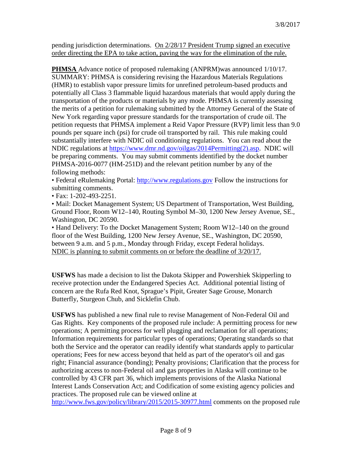pending jurisdiction determinations. On 2/28/17 President Trump signed an executive order directing the EPA to take action, paving the way for the elimination of the rule.

**PHMSA** Advance notice of proposed rulemaking (ANPRM)was announced 1/10/17. SUMMARY: PHMSA is considering revising the Hazardous Materials Regulations (HMR) to establish vapor pressure limits for unrefined petroleum-based products and potentially all Class 3 flammable liquid hazardous materials that would apply during the transportation of the products or materials by any mode. PHMSA is currently assessing the merits of a petition for rulemaking submitted by the Attorney General of the State of New York regarding vapor pressure standards for the transportation of crude oil. The petition requests that PHMSA implement a Reid Vapor Pressure (RVP) limit less than 9.0 pounds per square inch (psi) for crude oil transported by rail. This rule making could substantially interfere with NDIC oil conditioning regulations. You can read about the NDIC regulations at [https://www.dmr.nd.gov/oilgas/2014Permitting\(2\).asp.](https://www.dmr.nd.gov/oilgas/2014Permitting(2).asp) NDIC will be preparing comments. You may submit comments identified by the docket number PHMSA-2016-0077 (HM-251D) and the relevant petition number by any of the following methods:

• Federal eRulemaking Portal: [http://www.regulations.gov](http://www.regulations.gov/) Follow the instructions for submitting comments.

• Fax: 1-202-493-2251.

• Mail: Docket Management System; US Department of Transportation, West Building, Ground Floor, Room W12–140, Routing Symbol M–30, 1200 New Jersey Avenue, SE., Washington, DC 20590.

• Hand Delivery: To the Docket Management System; Room W12–140 on the ground floor of the West Building, 1200 New Jersey Avenue, SE., Washington, DC 20590, between 9 a.m. and 5 p.m., Monday through Friday, except Federal holidays. NDIC is planning to submit comments on or before the deadline of 3/20/17.

**USFWS** has made a decision to list the Dakota Skipper and Powershiek Skipperling to receive protection under the Endangered Species Act. Additional potential listing of concern are the Rufa Red Knot, Sprague's Pipit, Greater Sage Grouse, Monarch Butterfly, Sturgeon Chub, and Sicklefin Chub.

**USFWS** has published a new final rule to revise Management of Non-Federal Oil and Gas Rights. Key components of the proposed rule include: A permitting process for new operations; A permitting process for well plugging and reclamation for all operations; Information requirements for particular types of operations; Operating standards so that both the Service and the operator can readily identify what standards apply to particular operations; Fees for new access beyond that held as part of the operator's oil and gas right; Financial assurance (bonding); Penalty provisions; Clarification that the process for authorizing access to non-Federal oil and gas properties in Alaska will continue to be controlled by 43 CFR part 36, which implements provisions of the Alaska National Interest Lands Conservation Act; and Codification of some existing agency policies and practices. The proposed rule can be viewed online at

<http://www.fws.gov/policy/library/2015/2015-30977.html> comments on the proposed rule